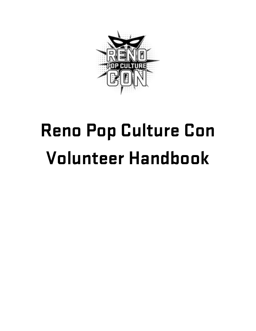

# Reno Pop Culture Con Volunteer Handbook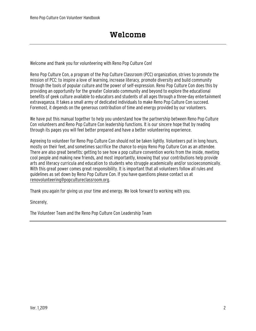Welcome and thank you for volunteering with Reno Pop Culture Con!

Reno Pop Culture Con, a program of the Pop Culture Classroom (PCC) organization, strives to promote the mission of PCC: to inspire a love of learning, increase literacy, promote diversity and build community through the tools of popular culture and the power of self-expression. Reno Pop Culture Con does this by providing an opportunity for the greater Colorado community and beyond to explore the educational benefits of geek culture available to educators and students of all ages through a three-day entertainment extravaganza. It takes a small army of dedicated individuals to make Reno Pop Culture Con succeed. Foremost, it depends on the generous contribution of time and energy provided by our volunteers.

We have put this manual together to help you understand how the partnership between Reno Pop Culture Con volunteers and Reno Pop Culture Con leadership functions. It is our sincere hope that by reading through its pages you will feel better prepared and have a better volunteering experience.

Agreeing to volunteer for Reno Pop Culture Con should not be taken lightly. Volunteers put in long hours, mostly on their feet, and sometimes sacrifice the chance to enjoy Reno Pop Culture Con as an attendee. There are also great benefits: getting to see how a pop culture convention works from the inside, meeting cool people and making new friends, and most importantly, knowing that your contributions help provide arts and literacy curricula and education to students who struggle academically and/or socioeconomically. With this great power comes great responsibility. It is important that all volunteers follow all rules and guidelines as set down by Reno Pop Culture Con. If you have questions please contact us at renovolunteering@popcultureclassroom.org.

Thank you again for giving us your time and energy. We look forward to working with you.

Sincerely,

The Volunteer Team and the Reno Pop Culture Con Leadership Team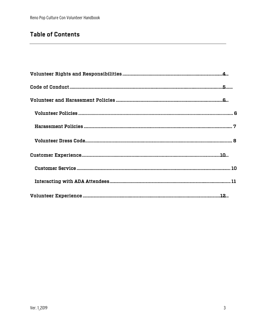#### Table of Contents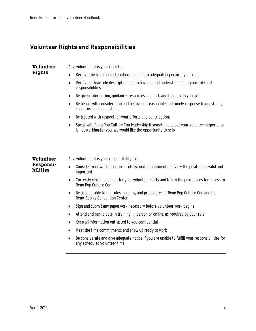#### Volunteer Rights and Responsibilities

| Volunteer<br>Rights   | As a volunteer, it is your right to:                                                                                                                                  |
|-----------------------|-----------------------------------------------------------------------------------------------------------------------------------------------------------------------|
|                       | Receive the training and guidance needed to adequately perform your role                                                                                              |
|                       | Receive a clear role description and to have a good understanding of your role and<br>$\bullet$<br>responsibilities                                                   |
|                       | Be given information, guidance, resources, support, and tools to do your job<br>$\bullet$                                                                             |
|                       | Be heard with consideration and be given a reasonable and timely response to questions,<br>$\bullet$<br>concerns, and suggestions                                     |
|                       | Be treated with respect for your efforts and contributions<br>$\bullet$                                                                                               |
|                       | Speak with Reno Pop Culture Con leadership if something about your volunteer experience<br>$\bullet$<br>is not working for you. We would like the opportunity to help |
|                       |                                                                                                                                                                       |
|                       |                                                                                                                                                                       |
| Volunteer             | As a volunteer, it is your responsibility to:                                                                                                                         |
| Responsi-<br>bilities | Consider your work a serious professional commitment and view the position as valid and<br>$\bullet$<br>important                                                     |
|                       | Correctly clock in and out for your volunteer shifts and follow the procedures for access to<br>$\bullet$<br>Reno Pop Culture Con                                     |
|                       | Be accountable to the rules, policies, and procedures of Reno Pop Culture Con and the<br>٠<br>Reno-Sparks Convention Center                                           |
|                       | Sign and submit any paperwork necessary before volunteer work begins<br>$\bullet$                                                                                     |
|                       | Attend and participate in training, in person or online, as required by your role<br>٠                                                                                |
|                       | Keep all information entrusted to you confidential<br>$\bullet$                                                                                                       |
|                       | Meet the time commitments and show up ready to work<br>$\bullet$                                                                                                      |
|                       | Be considerate and give adequate notice if you are unable to fulfill your responsibilities for<br>$\bullet$<br>any scheduled volunteer time                           |
|                       |                                                                                                                                                                       |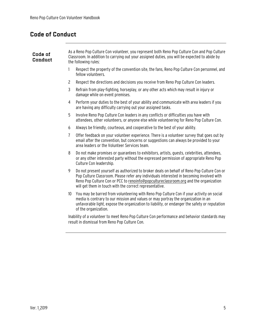## Code of Conduct

| Code of<br>Conduct | As a Reno Pop Culture Con volunteer, you represent both Reno Pop Culture Con and Pop Culture<br>Classroom. In addition to carrying out your assigned duties, you will be expected to abide by<br>the following rules:                                                                                                                          |  |  |  |
|--------------------|------------------------------------------------------------------------------------------------------------------------------------------------------------------------------------------------------------------------------------------------------------------------------------------------------------------------------------------------|--|--|--|
|                    | Respect the property of the convention site, the fans, Reno Pop Culture Con personnel, and<br>1<br>fellow volunteers.                                                                                                                                                                                                                          |  |  |  |
|                    | $\mathbf{2}$<br>Respect the directions and decisions you receive from Reno Pop Culture Con leaders.                                                                                                                                                                                                                                            |  |  |  |
|                    | 3<br>Refrain from play-fighting, horseplay, or any other acts which may result in injury or<br>damage while on event premises.                                                                                                                                                                                                                 |  |  |  |
|                    | Perform your duties to the best of your ability and communicate with area leaders if you<br>4<br>are having any difficulty carrying out your assigned tasks.                                                                                                                                                                                   |  |  |  |
|                    | 5<br>Involve Reno Pop Culture Con leaders in any conflicts or difficulties you have with<br>attendees, other volunteers, or anyone else while volunteering for Reno Pop Culture Con.                                                                                                                                                           |  |  |  |
|                    | Always be friendly, courteous, and cooperative to the best of your ability.<br>6                                                                                                                                                                                                                                                               |  |  |  |
|                    | Offer feedback on your volunteer experience. There is a volunteer survey that goes out by<br>7<br>email after the convention, but concerns or suggestions can always be provided to your<br>area leaders or the Volunteer Services team.                                                                                                       |  |  |  |
|                    | 8<br>Do not make promises or quarantees to exhibitors, artists, quests, celebrities, attendees,<br>or any other interested party without the expressed permission of appropriate Reno Pop<br>Culture Con leadership.                                                                                                                           |  |  |  |
|                    | 9<br>Do not present yourself as authorized to broker deals on behalf of Reno Pop Culture Con or<br>Pop Culture Classroom. Please refer any individuals interested in becoming involved with<br>Reno Pop Culture Con or PCC to renoinfo@popcultureclassroom.org and the organization<br>will get them in touch with the correct representative. |  |  |  |
|                    | You may be barred from volunteering with Reno Pop Culture Con if your activity on social<br>10 <sup>°</sup><br>media is contrary to our mission and values or may portray the organization in an<br>unfavorable light, expose the organization to liability, or endanger the safety or reputation<br>of the organization.                      |  |  |  |
|                    | Inability of a volunteer to meet Reno Pon Culture Con performance and behavior standards may                                                                                                                                                                                                                                                   |  |  |  |

Inability of a volunteer to meet Reno Pop Culture Con performance and behavior standards may result in dismissal from Reno Pop Culture Con.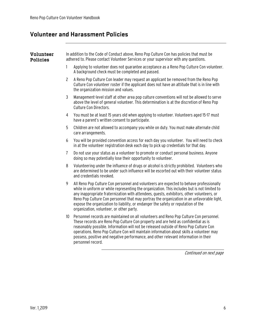#### Volunteer and Harassment Policies

| Volunteer<br><b>Policies</b> | In addition to the Code of Conduct above, Reno Pop Culture Con has policies that must be<br>adhered to. Please contact Volunteer Services or your supervisor with any questions. |                                                                                                                                                                                                                                                                                                                                                                                                                                                                                                                    |  |  |
|------------------------------|----------------------------------------------------------------------------------------------------------------------------------------------------------------------------------|--------------------------------------------------------------------------------------------------------------------------------------------------------------------------------------------------------------------------------------------------------------------------------------------------------------------------------------------------------------------------------------------------------------------------------------------------------------------------------------------------------------------|--|--|
|                              | 1                                                                                                                                                                                | Applying to volunteer does not guarantee acceptance as a Reno Pop Culture Con volunteer.<br>A background check must be completed and passed.                                                                                                                                                                                                                                                                                                                                                                       |  |  |
|                              | $\overline{c}$                                                                                                                                                                   | A Reno Pop Culture Con leader may request an applicant be removed from the Reno Pop<br>Culture Con volunteer roster if the applicant does not have an attitude that is in line with<br>the organization mission and values.                                                                                                                                                                                                                                                                                        |  |  |
|                              | $\mathfrak{Z}$                                                                                                                                                                   | Management-level staff at other area pop culture conventions will not be allowed to serve<br>above the level of general volunteer. This determination is at the discretion of Reno Pop<br>Culture Con Directors.                                                                                                                                                                                                                                                                                                   |  |  |
|                              | 4                                                                                                                                                                                | You must be at least 15 years old when applying to volunteer. Volunteers aged 15-17 must<br>have a parent's written consent to participate.                                                                                                                                                                                                                                                                                                                                                                        |  |  |
|                              | 5                                                                                                                                                                                | Children are not allowed to accompany you while on duty. You must make alternate child<br>care arrangements.                                                                                                                                                                                                                                                                                                                                                                                                       |  |  |
|                              | 6                                                                                                                                                                                | You will be provided convention access for each day you volunteer. You will need to check<br>in at the volunteer registration desk each day to pick up credentials for that day.                                                                                                                                                                                                                                                                                                                                   |  |  |
|                              | $\overline{1}$                                                                                                                                                                   | Do not use your status as a volunteer to promote or conduct personal business. Anyone<br>doing so may potentially lose their opportunity to volunteer.                                                                                                                                                                                                                                                                                                                                                             |  |  |
|                              | 8                                                                                                                                                                                | Volunteering under the influence of drugs or alcohol is strictly prohibited. Volunteers who<br>are determined to be under such influence will be escorted out with their volunteer status<br>and credentials revoked.                                                                                                                                                                                                                                                                                              |  |  |
|                              | 9                                                                                                                                                                                | All Reno Pop Culture Con personnel and volunteers are expected to behave professionally<br>while in uniform or while representing the organization. This includes but is not limited to<br>any inappropriate fraternization with attendees, quests, exhibitors, other volunteers, or<br>Reno Pop Culture Con personnel that may portray the organization in an unfavorable light,<br>expose the organization to liability, or endanger the safety or reputation of the<br>organization, volunteer, or other party. |  |  |
|                              | 10                                                                                                                                                                               | Personnel records are maintained on all volunteers and Reno Pop Culture Con personnel.<br>These records are Reno Pop Culture Con property and are held as confidential as is<br>reasonably possible. Information will not be released outside of Reno Pop Culture Con<br>operations. Reno Pop Culture Con will maintain information about skills a volunteer may<br>possess, positive and negative performance, and other relevant information in their<br>personnel record.                                       |  |  |

Continued on next page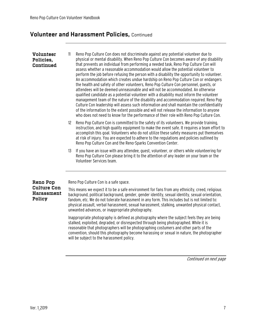### Volunteer and Harassment Policies, Continued

| Volunteer<br>Policies,<br>Continued               | 11                                                                                                                                                                                                                                                                                                                                                                                                                                                    | Reno Pop Culture Con does not discriminate against any potential volunteer due to<br>physical or mental disability. When Reno Pop Culture Con becomes aware of any disability<br>that prevents an individual from performing a needed task, Reno Pop Culture Con will<br>assess whether a reasonable accommodation would allow the potential volunteer to<br>perform the job before refusing the person with a disability the opportunity to volunteer.<br>An accommodation which creates undue hardship on Reno Pop Culture Con or endangers<br>the health and safety of other volunteers, Reno Pop Culture Con personnel, quests, or<br>attendees will be deemed unreasonable and will not be accommodated. An otherwise<br>qualified candidate as a potential volunteer with a disability must inform the volunteer<br>management team of the nature of the disability and accommodation required. Reno Pop<br>Culture Con leadership will assess such information and shall maintain the confidentiality<br>of the information to the extent possible and will not release the information to anyone<br>who does not need to know for the performance of their role with Reno Pop Culture Con. |  |
|---------------------------------------------------|-------------------------------------------------------------------------------------------------------------------------------------------------------------------------------------------------------------------------------------------------------------------------------------------------------------------------------------------------------------------------------------------------------------------------------------------------------|----------------------------------------------------------------------------------------------------------------------------------------------------------------------------------------------------------------------------------------------------------------------------------------------------------------------------------------------------------------------------------------------------------------------------------------------------------------------------------------------------------------------------------------------------------------------------------------------------------------------------------------------------------------------------------------------------------------------------------------------------------------------------------------------------------------------------------------------------------------------------------------------------------------------------------------------------------------------------------------------------------------------------------------------------------------------------------------------------------------------------------------------------------------------------------------------------|--|
|                                                   | $12 \overline{ }$                                                                                                                                                                                                                                                                                                                                                                                                                                     | Reno Pop Culture Con is committed to the safety of its volunteers. We provide training,<br>instruction, and high quality equipment to make the event safe. It requires a team effort to<br>accomplish this goal. Volunteers who do not utilize these safety measures put themselves<br>at risk of injury. You are expected to adhere to the regulations and policies outlined by<br>Reno Pop Culture Con and the Reno-Sparks Convention Center.                                                                                                                                                                                                                                                                                                                                                                                                                                                                                                                                                                                                                                                                                                                                                    |  |
|                                                   | 13                                                                                                                                                                                                                                                                                                                                                                                                                                                    | If you have an issue with any attendee, quest, volunteer, or others while volunteering for<br>Reno Pop Culture Con please bring it to the attention of any leader on your team or the<br>Volunteer Services team.                                                                                                                                                                                                                                                                                                                                                                                                                                                                                                                                                                                                                                                                                                                                                                                                                                                                                                                                                                                  |  |
| <b>Reno Pop</b>                                   |                                                                                                                                                                                                                                                                                                                                                                                                                                                       | Reno Pop Culture Con is a safe space.                                                                                                                                                                                                                                                                                                                                                                                                                                                                                                                                                                                                                                                                                                                                                                                                                                                                                                                                                                                                                                                                                                                                                              |  |
| <b>Culture Con</b><br><b>Harassment</b><br>Policy | This means we expect it to be a safe environment for fans from any ethnicity, creed, religious<br>background, political background, gender, gender identity, sexual identity, sexual orientation,<br>fandom, etc. We do not tolerate harassment in any form. This includes but is not limited to:<br>physical assault, verbal harassment, sexual harassment, stalking, unwanted physical contact,<br>unwanted advances, or inappropriate photography. |                                                                                                                                                                                                                                                                                                                                                                                                                                                                                                                                                                                                                                                                                                                                                                                                                                                                                                                                                                                                                                                                                                                                                                                                    |  |
|                                                   |                                                                                                                                                                                                                                                                                                                                                                                                                                                       | Inappropriate photography is defined as photography where the subject feels they are being<br>stalked, exploited, degraded, or disrespected through being photographed. While it is<br>reasonable that photographers will be photographing costumers and other parts of the<br>convention, should this photography become harassing or sexual in nature, the photographer<br>will be subject to the harassment policy.                                                                                                                                                                                                                                                                                                                                                                                                                                                                                                                                                                                                                                                                                                                                                                             |  |

Continued on next page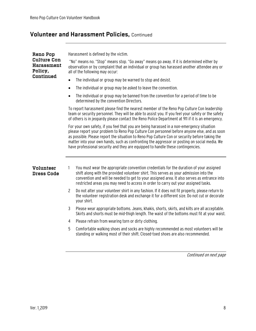### Volunteer and Harassment Policies, Continued

| <b>Reno Pop</b><br><b>Culture Con</b><br><b>Harassment</b><br>Policy, | Harassment is defined by the victim.                                                                                                                                                                                                                                                                                                                                                                                                                                           |  |
|-----------------------------------------------------------------------|--------------------------------------------------------------------------------------------------------------------------------------------------------------------------------------------------------------------------------------------------------------------------------------------------------------------------------------------------------------------------------------------------------------------------------------------------------------------------------|--|
|                                                                       | "No" means no. "Stop" means stop. "Go away" means go away. If it is determined either by<br>observation or by complaint that an individual or group has harassed another attendee any or<br>all of the following may occur:                                                                                                                                                                                                                                                    |  |
| Continued                                                             | The individual or group may be warned to stop and desist.<br>$\bullet$                                                                                                                                                                                                                                                                                                                                                                                                         |  |
|                                                                       | The individual or group may be asked to leave the convention.<br>$\bullet$                                                                                                                                                                                                                                                                                                                                                                                                     |  |
|                                                                       | The individual or group may be banned from the convention for a period of time to be<br>$\bullet$<br>determined by the convention Directors.                                                                                                                                                                                                                                                                                                                                   |  |
|                                                                       | To report harassment please find the nearest member of the Reno Pop Culture Con leadership<br>team or security personnel. They will be able to assist you. If you feel your safety or the safety<br>of others is in jeopardy please contact the Reno Police Department at 911 if it is an emergency.                                                                                                                                                                           |  |
|                                                                       | For your own safety, if you feel that you are being harassed in a non-emergency situation<br>please report your problem to Reno Pop Culture Con personnel before anyone else, and as soon<br>as possible. Please report the situation to Reno Pop Culture Con or security before taking the<br>matter into your own hands, such as confronting the aggressor or posting on social media. We<br>have professional security and they are equipped to handle these contingencies. |  |
| <b>Volunteer</b><br><b>Dress Code</b>                                 | You must wear the appropriate convention credentials for the duration of your assigned<br>1<br>shift along with the provided volunteer shirt. This serves as your admission into the<br>convention and will be needed to get to your assigned area. It also serves as entrance into<br>restricted areas you may need to access in order to carry out your assigned tasks.                                                                                                      |  |
|                                                                       | $\overline{c}$<br>Do not alter your volunteer shirt in any fashion. If it does not fit properly, please return to<br>the volunteer registration desk and exchange it for a different size. Do not cut or decorate<br>your shirt.                                                                                                                                                                                                                                               |  |
|                                                                       | 3<br>Please wear appropriate bottoms. Jeans, khakis, shorts, skirts, and kilts are all acceptable.<br>Skirts and shorts must be mid-thigh length. The waist of the bottoms must fit at your waist.                                                                                                                                                                                                                                                                             |  |
|                                                                       | Please refrain from wearing torn or dirty clothing.<br>4                                                                                                                                                                                                                                                                                                                                                                                                                       |  |
|                                                                       | 5<br>Comfortable walking shoes and socks are highly recommended as most volunteers will be<br>standing or walking most of their shift. Closed-toed shoes are also recommended.                                                                                                                                                                                                                                                                                                 |  |

Continued on next page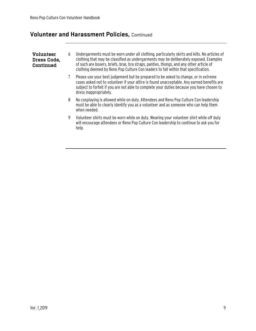### Volunteer and Harassment Policies, Continued

| Volunteer<br>Dress Code,<br>Continued | 6 | Undergarments must be worn under all clothing, particularly skirts and kilts. No articles of<br>clothing that may be classified as undergarments may be deliberately exposed. Examples<br>of such are boxers, briefs, bras, bra straps, panties, thongs, and any other article of<br>clothing deemed by Reno Pop Culture Con leaders to fall within that specification. |
|---------------------------------------|---|-------------------------------------------------------------------------------------------------------------------------------------------------------------------------------------------------------------------------------------------------------------------------------------------------------------------------------------------------------------------------|
|                                       |   | Please use your best judgement but be prepared to be asked to change, or in extreme<br>cases asked not to volunteer if your attire is found unacceptable. Any earned benefits are<br>subject to forfeit if you are not able to complete your duties because you have chosen to<br>dress inappropriately.                                                                |
|                                       | 8 | No cosplaying is allowed while on duty. Attendees and Reno Pop Culture Con leadership<br>must be able to clearly identify you as a volunteer and as someone who can help them<br>when needed.                                                                                                                                                                           |
|                                       | 9 | Volunteer shirts must be worn while on duty. Wearing your volunteer shirt while off duty<br>will encourage attendees or Reno Pop Culture Con leadership to continue to ask you for<br>help.                                                                                                                                                                             |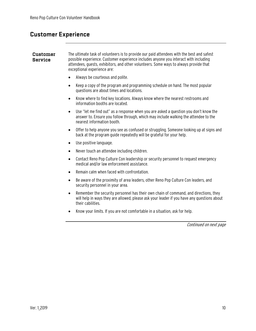#### Customer Experience

#### The ultimate task of volunteers is to provide our paid attendees with the best and safest Customer **Service** possible experience. Customer experience includes anyone you interact with including attendees, guests, exhibitors, and other volunteers. Some ways to always provide that exceptional experience are: Always be courteous and polite. Keep a copy of the program and programming schedule on hand. The most popular questions are about times and locations. Know where to find key locations. Always know where the nearest restrooms and information booths are located. Use "let me find out" as a response when you are asked a question you don't know the answer to. Ensure you follow through, which may include walking the attendee to the nearest information booth. Offer to help anyone you see as confused or struggling. Someone looking up at signs and back at the program guide repeatedly will be grateful for your help. Use positive language. Never touch an attendee including children. Contact Reno Pop Culture Con leadership or security personnel to request emergency medical and/or law enforcement assistance. Remain calm when faced with confrontation. Be aware of the proximity of area leaders, other Reno Pop Culture Con leaders, and security personnel in your area. Remember the security personnel has their own chain of command, and directions, they will help in ways they are allowed, please ask your leader if you have any questions about their cabilities. Know your limits. If you are not comfortable in a situation, ask for help. Continued on next page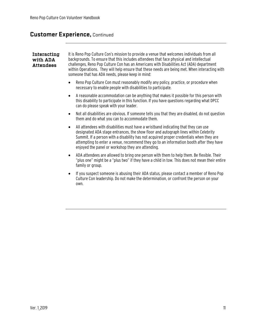## Customer Experience, Continued

| Interacting<br>with ADA<br><b>Attendees</b> | It is Reno Pop Culture Con's mission to provide a venue that welcomes individuals from all<br>backgrounds. To ensure that this includes attendees that face physical and intellectual<br>challenges, Reno Pop Culture Con has an Americans with Disabilities Act (ADA) department<br>within Operations. They will help ensure that these needs are being met. When interacting with<br>someone that has ADA needs, please keep in mind: |
|---------------------------------------------|-----------------------------------------------------------------------------------------------------------------------------------------------------------------------------------------------------------------------------------------------------------------------------------------------------------------------------------------------------------------------------------------------------------------------------------------|
|                                             | Reno Pop Culture Con must reasonably modify any policy, practice, or procedure when<br>$\bullet$<br>necessary to enable people with disabilities to participate.                                                                                                                                                                                                                                                                        |
|                                             | A reasonable accommodation can be anything that makes it possible for this person with<br>$\bullet$<br>this disability to participate in this function. If you have questions regarding what DPCC<br>can do please speak with your leader.                                                                                                                                                                                              |
|                                             | Not all disabilities are obvious. If someone tells you that they are disabled, do not question<br>$\bullet$<br>them and do what you can to accommodate them.                                                                                                                                                                                                                                                                            |
|                                             | All attendees with disabilities must have a wristband indicating that they can use<br>$\bullet$<br>designated ADA stage entrances, the show floor and autograph lines within Celebrity<br>Summit. If a person with a disability has not acquired proper credentials when they are<br>attempting to enter a venue, recommend they go to an information booth after they have<br>enjoyed the panel or workshop they are attending.        |
|                                             | ADA attendees are allowed to bring one person with them to help them. Be flexible. Their<br>$\bullet$<br>"plus one" might be a "plus two" if they have a child in tow. This does not mean their entire<br>family or group.                                                                                                                                                                                                              |
|                                             | If you suspect someone is abusing their ADA status, please contact a member of Reno Pop<br>$\bullet$<br>Culture Con leadership. Do not make the determination, or confront the person on your<br>own.                                                                                                                                                                                                                                   |
|                                             |                                                                                                                                                                                                                                                                                                                                                                                                                                         |